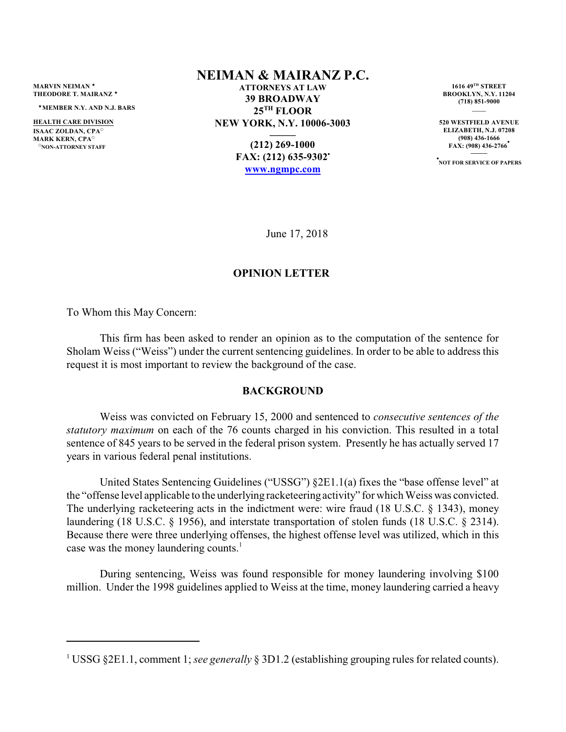**MARVIN NEIMAN** <sup>⁄</sup> **THEODORE T. MAIRANZ** <sup>⁄</sup>

<sup>⁄</sup>**MEMBER N.Y. AND N.J. BARS**

**HEALTH CARE DIVISION ISAAC ZOLDAN CPA**<sup>O</sup> **MARK KERN, CPA<sup>o</sup> PRON-ATTORNEY STAFF** 

## **NEIMAN & MAIRANZ P.C.**

**ATTORNEYS AT LAW 39 BROADWAY 25TH FLOOR NEW YORK, N.Y. 10006-3003 \_\_\_\_\_**

> **(212) 269-1000 FAX: (212) 635-9302• [www.ngmpc.com](http://www.ngmpc.com)**

**1616 49TH STREET BROOKLYN, N.Y. 11204 (718) 851-9000 \_\_\_\_\_**

**520 WESTFIELD AVENUE ELIZABETH, N.J. 07208 (908) 436-1666 FAX: (908) 436-2766 • \_\_\_\_\_**

**• NOT FOR SERVICE OF PAPERS**

June 17, 2018

### **OPINION LETTER**

To Whom this May Concern:

This firm has been asked to render an opinion as to the computation of the sentence for Sholam Weiss ("Weiss") under the current sentencing guidelines. In order to be able to address this request it is most important to review the background of the case.

#### **BACKGROUND**

Weiss was convicted on February 15, 2000 and sentenced to *consecutive sentences of the statutory maximum* on each of the 76 counts charged in his conviction. This resulted in a total sentence of 845 years to be served in the federal prison system. Presently he has actually served 17 years in various federal penal institutions.

United States Sentencing Guidelines ("USSG") §2E1.1(a) fixes the "base offense level" at the "offense level applicable to the underlying racketeeringactivity" for which Weiss was convicted. The underlying racketeering acts in the indictment were: wire fraud (18 U.S.C. § 1343), money laundering (18 U.S.C. § 1956), and interstate transportation of stolen funds (18 U.S.C. § 2314). Because there were three underlying offenses, the highest offense level was utilized, which in this case was the money laundering counts.<sup>1</sup>

During sentencing, Weiss was found responsible for money laundering involving \$100 million. Under the 1998 guidelines applied to Weiss at the time, money laundering carried a heavy

<sup>1</sup> USSG §2E1.1, comment 1; *see generally* § 3D1.2 (establishing grouping rules for related counts).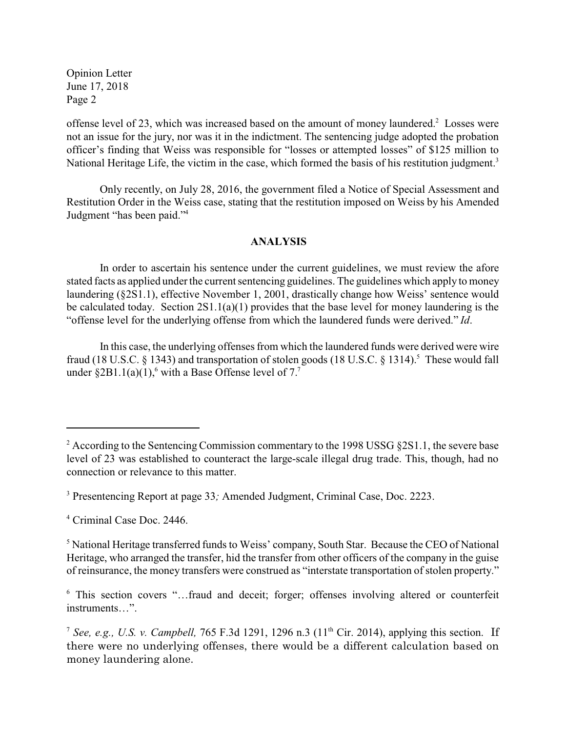Opinion Letter June 17, 2018 Page 2

offense level of 23, which was increased based on the amount of money laundered.<sup>2</sup> Losses were not an issue for the jury, nor was it in the indictment. The sentencing judge adopted the probation officer's finding that Weiss was responsible for "losses or attempted losses" of \$125 million to National Heritage Life, the victim in the case, which formed the basis of his restitution judgment.<sup>3</sup>

Only recently, on July 28, 2016, the government filed a Notice of Special Assessment and Restitution Order in the Weiss case, stating that the restitution imposed on Weiss by his Amended Judgment "has been paid."4

## **ANALYSIS**

In order to ascertain his sentence under the current guidelines, we must review the afore stated facts as applied under the current sentencing guidelines. The guidelines which apply to money laundering (§2S1.1), effective November 1, 2001, drastically change how Weiss' sentence would be calculated today. Section 2S1.1(a)(1) provides that the base level for money laundering is the "offense level for the underlying offense from which the laundered funds were derived." *Id*.

In this case, the underlying offenses from which the laundered funds were derived were wire fraud (18 U.S.C. § 1343) and transportation of stolen goods (18 U.S.C. § 1314).<sup>5</sup> These would fall under  $\S 2B1.1(a)(1)$ , with a Base Offense level of 7.<sup>7</sup>

 $2 \text{ According to the Sentencing Commission commentary to the 1998 USSG $2S1.1, the severe base}$ level of 23 was established to counteract the large-scale illegal drug trade. This, though, had no connection or relevance to this matter.

<sup>3</sup> Presentencing Report at page 33*;* Amended Judgment, Criminal Case, Doc. 2223.

<sup>4</sup> Criminal Case Doc. 2446.

<sup>5</sup> National Heritage transferred funds to Weiss' company, South Star. Because the CEO of National Heritage, who arranged the transfer, hid the transfer from other officers of the company in the guise of reinsurance, the money transfers were construed as "interstate transportation of stolen property."

<sup>6</sup> This section covers "…fraud and deceit; forger; offenses involving altered or counterfeit instruments…".

<sup>&</sup>lt;sup>7</sup> See, e.g., U.S. v. Campbell,  $765$  F.3d 1291, 1296 n.3 ( $11<sup>th</sup>$  Cir. 2014), applying this section. If there were no underlying offenses, there would be a different calculation based on money laundering alone.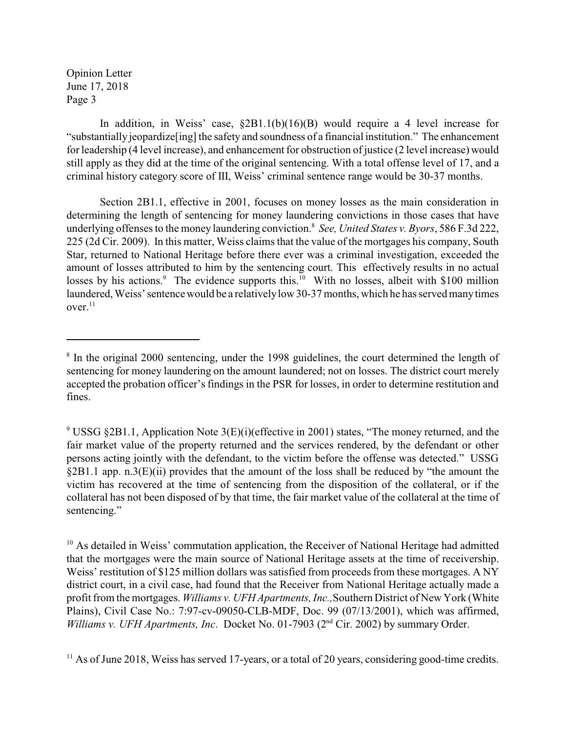Opinion Letter June 17, 2018 Page 3

In addition, in Weiss' case, §2B1.1(b)(16)(B) would require a 4 level increase for "substantially jeopardize[ing] the safety and soundness of a financial institution." The enhancement for leadership (4 level increase), and enhancement for obstruction of justice (2 level increase) would still apply as they did at the time of the original sentencing. With a total offense level of 17, and a criminal history category score of III, Weiss' criminal sentence range would be 30-37 months.

Section 2B1.1, effective in 2001, focuses on money losses as the main consideration in determining the length of sentencing for money laundering convictions in those cases that have underlying offenses to the money laundering conviction.8 *See, United States v. Byors*, 586 F.3d 222, 225 (2d Cir. 2009). In this matter, Weiss claims that the value of the mortgages his company, South Star, returned to National Heritage before there ever was a criminal investigation, exceeded the amount of losses attributed to him by the sentencing court. This effectively results in no actual losses by his actions.<sup>9</sup> The evidence supports this.<sup>10</sup> With no losses, albeit with \$100 million laundered, Weiss' sentence would be a relativelylow 30-37 months, which he has served manytimes  $over.11$ 

<sup>&</sup>lt;sup>8</sup> In the original 2000 sentencing, under the 1998 guidelines, the court determined the length of sentencing for money laundering on the amount laundered; not on losses. The district court merely accepted the probation officer's findings in the PSR for losses, in order to determine restitution and fines.

<sup>&</sup>lt;sup>9</sup> USSG §2B1.1, Application Note 3(E)(i)(effective in 2001) states, "The money returned, and the fair market value of the property returned and the services rendered, by the defendant or other persons acting jointly with the defendant, to the victim before the offense was detected." USSG §2B1.1 app. n.3(E)(ii) provides that the amount of the loss shall be reduced by "the amount the victim has recovered at the time of sentencing from the disposition of the collateral, or if the collateral has not been disposed of by that time, the fair market value of the collateral at the time of sentencing."

<sup>&</sup>lt;sup>10</sup> As detailed in Weiss' commutation application, the Receiver of National Heritage had admitted that the mortgages were the main source of National Heritage assets at the time of receivership. Weiss' restitution of \$125 million dollars was satisfied from proceeds from these mortgages. A NY district court, in a civil case, had found that the Receiver from National Heritage actually made a profit from the mortgages. *Williams v. UFH Apartments, Inc.,*Southern District of New York (White Plains), Civil Case No.: 7:97-cv-09050-CLB-MDF, Doc. 99 (07/13/2001), which was affirmed, *Williams v. UFH Apartments, Inc. Docket No. 01-7903 (2<sup>nd</sup> Cir. 2002) by summary Order.* 

<sup>&</sup>lt;sup>11</sup> As of June 2018, Weiss has served 17-years, or a total of 20 years, considering good-time credits.